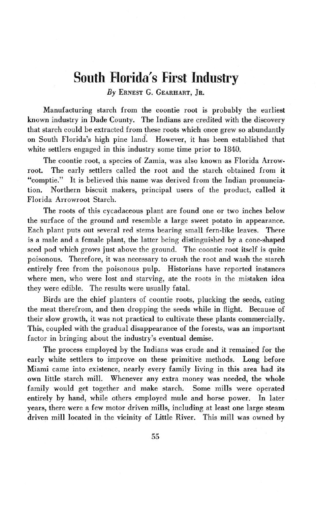## **South Florida's First Industry**

*By* **ERNEST G. GEARHART, JR.**

Manufacturing starch from the coontie root is probably the earliest known industry in Dade County. The Indians are credited with the discovery that starch could be extracted from these roots which once grew so abundantly on South Florida's high pine land. However, it has been established that white settlers engaged in this industry some time prior to 1840.

The coontie root, a species of Zamia, was also known as Florida Arrowroot. The early settlers called the root and the starch obtained from it "comptie." It is believed this name was derived from the Indian pronunciation. Northern biscuit makers, principal users of the product, called it Florida Arrowroot Starch.

The roots of this cycadaceous plant are found one or two inches below the surface of the ground and resemble a large sweet potato in appearance. Each plant puts out several red stems bearing small fern-like leaves. There is a male and a female plant, the latter being distinguished **by** a cone-shaped seed pod which grows just above the ground. The coontie root itself is quite poisonous. Therefore, it was necessary to crush the root and wash the starch entirely free from the poisonous pulp. Historians have reported instances where men, who were lost and starving, ate the roots in the mistaken idea they were edible. The results were usually fatal.

Birds are the chief planters of coontie roots, plucking the seeds, eating the meat therefrom, and then dropping the seeds while in flight. Because of their slow growth, it was not practical to cultivate these plants commercially. This, coupled with the gradual disappearance of the forests, was an important factor in bringing about the industry's eventual demise.

The process employed **by** the Indians was crude and it remained for the early white settlers to improve on these primitive methods. Long before Miami came into existence, nearly every family living in this area had its own little starch mill. Whenever any extra money was needed, the whole family would get together and make starch. Some mills were operated entirely **by** hand, while others employed mule and horse power. In later years, there were a few motor driven mills, including at least one large steam driven mill located in the vicinity of Little River. This mill was owned **by**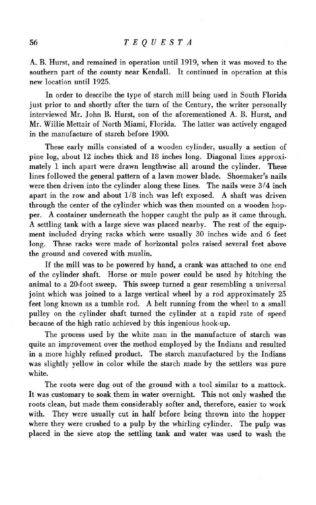A. B. Hurst, and remained in operation until 1919, when it was moved to the southern part of the county near Kendall. It continued in operation at this new location until 1925.

In order to describe the type of starch mill being used in South Florida just prior to and shortly after the turn of the Century, the writer personally interviewed Mr. John B. Hurst, son of the aforementioned A. B. Hurst, and Mr. Willie Mettair of North Miami, Florida. The latter was actively engaged in the manufacture of starch before 1900.

These early mills consisted of a wooden cylinder, usually a section of pine log, about 12 inches thick and 18 inches long. Diagonal lines approximately 1 inch apart were drawn lengthwise all around the cylinder. These lines followed the general pattern of a lawn mower blade. Shoemaker's nails were then driven into the cylinder along these lines. The nails were  $3/4$  inch apart in the row and about  $1/8$  inch was left exposed. A shaft was driven through the center of the cylinder which was then mounted on a wooden hopper. A container underneath the hopper caught the pulp as it came through. A settling tank with a large sieve was placed nearby. The rest of the equipment included drying racks which were usually 30 inches wide and 6 feet long. These racks were made of horizontal poles raised several feet above the ground and covered with muslin.

If the mill was to be powered by hand, a crank was attached to one end of the cylinder shaft. Horse or mule power could be used by hitching the animal to a 20-foot sweep. This sweep turned a gear resembling a universal joint which was joined to a large vertical wheel by a rod approximately 25 feet long known as a tumble rod. A belt running from the wheel to a small pulley on the cylinder shaft turned the cylinder at a rapid rate of speed because of the high ratio achieved by this ingenious hook-up.

The process used by the white man in the manufacture of starch was quite an improvement over the method employed by the Indians and resulted in a more highly refined product. The starch manufactured by the Indians was slightly yellow in color while the starch made by the settlers was pure white.

The roots were dug out of the ground with a tool similar to a mattock. It was customary to soak them in water overnight. This not only washed the roots clean, but made them considerably softer and, therefore, easier to work with. They were usually cut in half before being thrown into the hopper where they were crushed to a pulp by the whirling cylinder. The pulp was placed in the sieve atop the settling tank and water was used to wash the